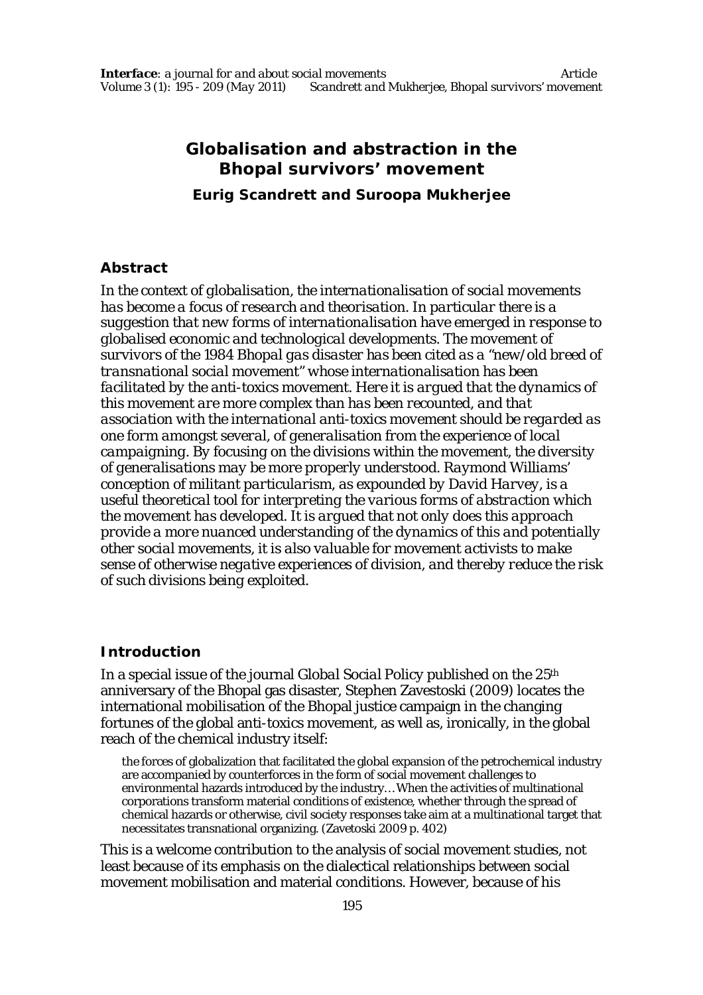# **Globalisation and abstraction in the Bhopal survivors' movement Eurig Scandrett and Suroopa Mukherjee**

## **Abstract**

*In the context of globalisation, the internationalisation of social movements has become a focus of research and theorisation. In particular there is a suggestion that new forms of internationalisation have emerged in response to globalised economic and technological developments. The movement of survivors of the 1984 Bhopal gas disaster has been cited as a "new/old breed of transnational social movement" whose internationalisation has been facilitated by the anti-toxics movement. Here it is argued that the dynamics of this movement are more complex than has been recounted, and that association with the international anti-toxics movement should be regarded as one form amongst several, of generalisation from the experience of local campaigning. By focusing on the divisions within the movement, the diversity of generalisations may be more properly understood. Raymond Williams' conception of militant particularism, as expounded by David Harvey, is a useful theoretical tool for interpreting the various forms of abstraction which the movement has developed. It is argued that not only does this approach provide a more nuanced understanding of the dynamics of this and potentially other social movements, it is also valuable for movement activists to make sense of otherwise negative experiences of division, and thereby reduce the risk of such divisions being exploited.*

# **Introduction**

In a special issue of the journal *Global Social Policy* published on the 25th anniversary of the Bhopal gas disaster, Stephen Zavestoski (2009) locates the international mobilisation of the Bhopal justice campaign in the changing fortunes of the global anti-toxics movement, as well as, ironically, in the global reach of the chemical industry itself:

the forces of globalization that facilitated the global expansion of the petrochemical industry are accompanied by counterforces in the form of social movement challenges to environmental hazards introduced by the industry… When the activities of multinational corporations transform material conditions of existence, whether through the spread of chemical hazards or otherwise, civil society responses take aim at a multinational target that necessitates transnational organizing. (Zavetoski 2009 p. 402)

This is a welcome contribution to the analysis of social movement studies, not least because of its emphasis on the dialectical relationships between social movement mobilisation and material conditions. However, because of his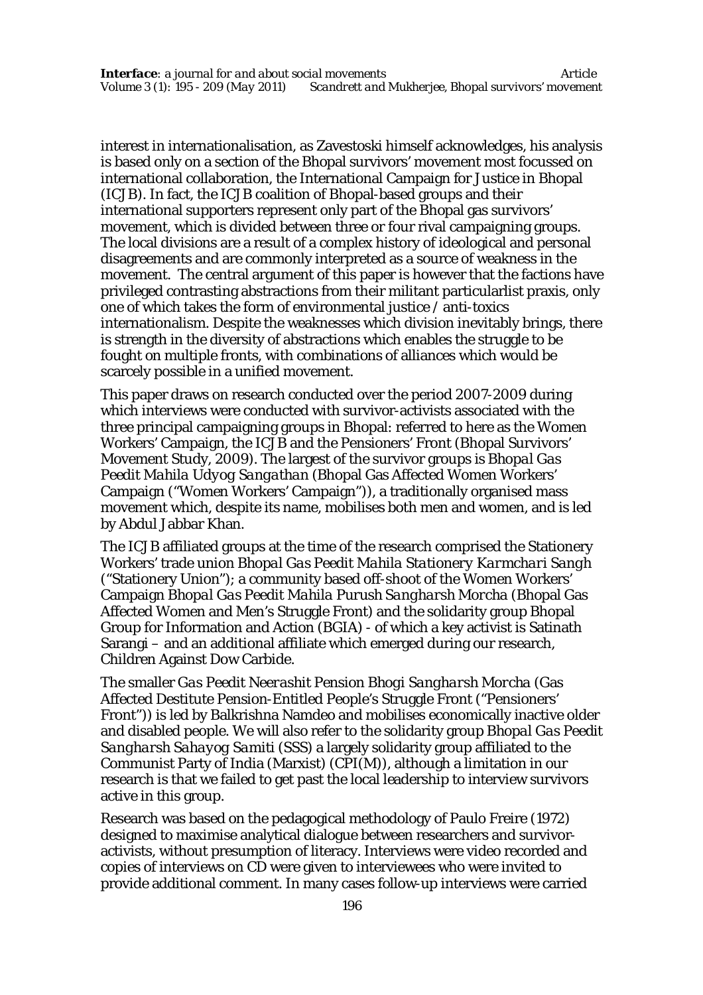interest in internationalisation, as Zavestoski himself acknowledges, his analysis is based only on a section of the Bhopal survivors' movement most focussed on international collaboration, the International Campaign for Justice in Bhopal (ICJB). In fact, the ICJB coalition of Bhopal-based groups and their international supporters represent only part of the Bhopal gas survivors' movement, which is divided between three or four rival campaigning groups. The local divisions are a result of a complex history of ideological and personal disagreements and are commonly interpreted as a source of weakness in the movement. The central argument of this paper is however that the factions have privileged contrasting abstractions from their militant particularlist praxis, only one of which takes the form of environmental justice / anti-toxics internationalism. Despite the weaknesses which division inevitably brings, there is strength in the diversity of abstractions which enables the struggle to be fought on multiple fronts, with combinations of alliances which would be scarcely possible in a unified movement.

This paper draws on research conducted over the period 2007-2009 during which interviews were conducted with survivor-activists associated with the three principal campaigning groups in Bhopal: referred to here as the Women Workers' Campaign, the ICJB and the Pensioners' Front (Bhopal Survivors' Movement Study, 2009). The largest of the survivor groups is *Bhopal Gas Peedit Mahila Udyog Sangathan* (Bhopal Gas Affected Women Workers' Campaign ("Women Workers' Campaign")), a traditionally organised mass movement which, despite its name, mobilises both men and women, and is led by Abdul Jabbar Khan.

The ICJB affiliated groups at the time of the research comprised the Stationery Workers' trade union *Bhopal Gas Peedit Mahila Stationery Karmchari Sangh*  ("Stationery Union"); a community based off-shoot of the Women Workers' Campaign *Bhopal Gas Peedit Mahila Purush Sangharsh Morcha* (Bhopal Gas Affected Women and Men's Struggle Front) and the solidarity group Bhopal Group for Information and Action (BGIA) - of which a key activist is Satinath Sarangi – and an additional affiliate which emerged during our research, Children Against Dow Carbide.

The smaller *Gas Peedit Neerashit Pension Bhogi Sangharsh Morcha* (Gas Affected Destitute Pension-Entitled People's Struggle Front ("Pensioners' Front")) is led by Balkrishna Namdeo and mobilises economically inactive older and disabled people. We will also refer to the solidarity group *Bhopal Gas Peedit Sangharsh Sahayog Samiti* (SSS) a largely solidarity group affiliated to the Communist Party of India (Marxist) (CPI(M)), although a limitation in our research is that we failed to get past the local leadership to interview survivors active in this group.

Research was based on the pedagogical methodology of Paulo Freire (1972) designed to maximise analytical dialogue between researchers and survivoractivists, without presumption of literacy. Interviews were video recorded and copies of interviews on CD were given to interviewees who were invited to provide additional comment. In many cases follow-up interviews were carried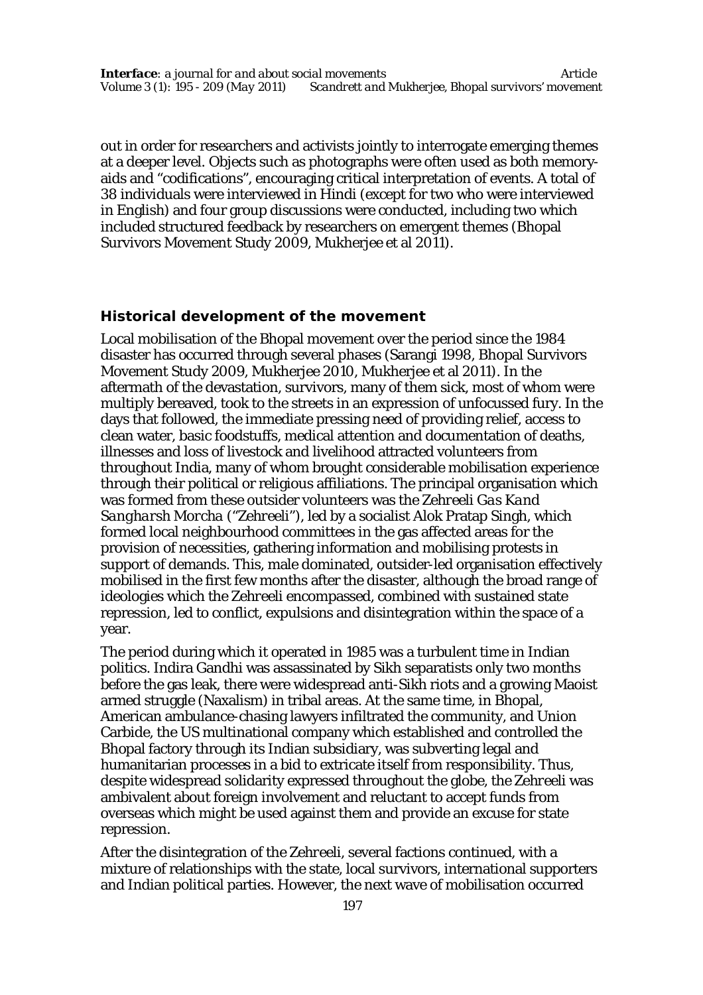out in order for researchers and activists jointly to interrogate emerging themes at a deeper level. Objects such as photographs were often used as both memoryaids and "codifications", encouraging critical interpretation of events. A total of 38 individuals were interviewed in Hindi (except for two who were interviewed in English) and four group discussions were conducted, including two which included structured feedback by researchers on emergent themes (Bhopal Survivors Movement Study 2009, Mukherjee et al 2011).

## **Historical development of the movement**

Local mobilisation of the Bhopal movement over the period since the 1984 disaster has occurred through several phases (Sarangi 1998, Bhopal Survivors Movement Study 2009, Mukherjee 2010, Mukherjee et al 2011). In the aftermath of the devastation, survivors, many of them sick, most of whom were multiply bereaved, took to the streets in an expression of unfocussed fury. In the days that followed, the immediate pressing need of providing relief, access to clean water, basic foodstuffs, medical attention and documentation of deaths, illnesses and loss of livestock and livelihood attracted volunteers from throughout India, many of whom brought considerable mobilisation experience through their political or religious affiliations. The principal organisation which was formed from these outsider volunteers was the *Zehreeli Gas Kand Sangharsh Morcha* ("*Zehreeli*"), led by a socialist Alok Pratap Singh, which formed local neighbourhood committees in the gas affected areas for the provision of necessities, gathering information and mobilising protests in support of demands. This, male dominated, outsider-led organisation effectively mobilised in the first few months after the disaster, although the broad range of ideologies which the *Zehreeli* encompassed, combined with sustained state repression, led to conflict, expulsions and disintegration within the space of a year.

The period during which it operated in 1985 was a turbulent time in Indian politics. Indira Gandhi was assassinated by Sikh separatists only two months before the gas leak, there were widespread anti-Sikh riots and a growing Maoist armed struggle (Naxalism) in tribal areas. At the same time, in Bhopal, American ambulance-chasing lawyers infiltrated the community, and Union Carbide, the US multinational company which established and controlled the Bhopal factory through its Indian subsidiary, was subverting legal and humanitarian processes in a bid to extricate itself from responsibility. Thus, despite widespread solidarity expressed throughout the globe, the *Zehreeli* was ambivalent about foreign involvement and reluctant to accept funds from overseas which might be used against them and provide an excuse for state repression.

After the disintegration of the *Zehreeli*, several factions continued, with a mixture of relationships with the state, local survivors, international supporters and Indian political parties. However, the next wave of mobilisation occurred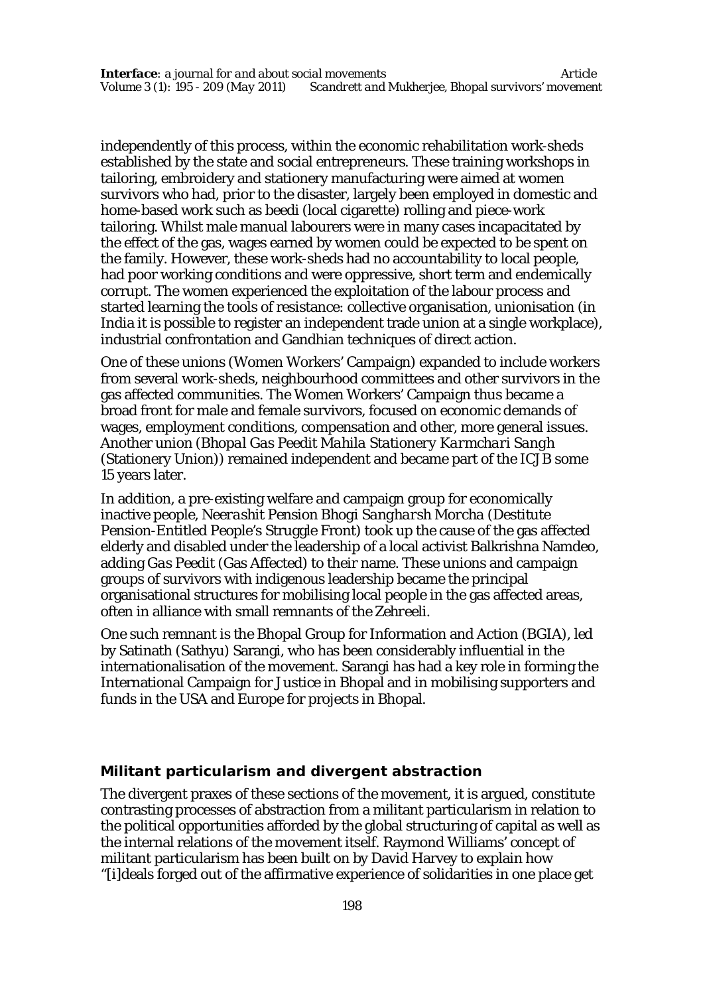independently of this process, within the economic rehabilitation work-sheds established by the state and social entrepreneurs. These training workshops in tailoring, embroidery and stationery manufacturing were aimed at women survivors who had, prior to the disaster, largely been employed in domestic and home-based work such as beedi (local cigarette) rolling and piece-work tailoring. Whilst male manual labourers were in many cases incapacitated by the effect of the gas, wages earned by women could be expected to be spent on the family. However, these work-sheds had no accountability to local people, had poor working conditions and were oppressive, short term and endemically corrupt. The women experienced the exploitation of the labour process and started learning the tools of resistance: collective organisation, unionisation (in India it is possible to register an independent trade union at a single workplace), industrial confrontation and Gandhian techniques of direct action.

One of these unions (Women Workers' Campaign) expanded to include workers from several work-sheds, neighbourhood committees and other survivors in the gas affected communities. The Women Workers' Campaign thus became a broad front for male and female survivors, focused on economic demands of wages, employment conditions, compensation and other, more general issues. Another union (*Bhopal Gas Peedit Mahila Stationery Karmchari Sangh*  (Stationery Union)) remained independent and became part of the ICJB some 15 years later.

In addition, a pre-existing welfare and campaign group for economically inactive people, *Neerashit Pension Bhogi Sangharsh Morcha* (Destitute Pension-Entitled People's Struggle Front) took up the cause of the gas affected elderly and disabled under the leadership of a local activist Balkrishna Namdeo, adding *Gas Peedit* (Gas Affected) to their name. These unions and campaign groups of survivors with indigenous leadership became the principal organisational structures for mobilising local people in the gas affected areas, often in alliance with small remnants of the *Zehreeli*.

One such remnant is the Bhopal Group for Information and Action (BGIA), led by Satinath (Sathyu) Sarangi, who has been considerably influential in the internationalisation of the movement. Sarangi has had a key role in forming the International Campaign for Justice in Bhopal and in mobilising supporters and funds in the USA and Europe for projects in Bhopal.

#### **Militant particularism and divergent abstraction**

The divergent praxes of these sections of the movement, it is argued, constitute contrasting processes of abstraction from a militant particularism in relation to the political opportunities afforded by the global structuring of capital as well as the internal relations of the movement itself. Raymond Williams' concept of militant particularism has been built on by David Harvey to explain how "[i]deals forged out of the affirmative experience of solidarities in one place get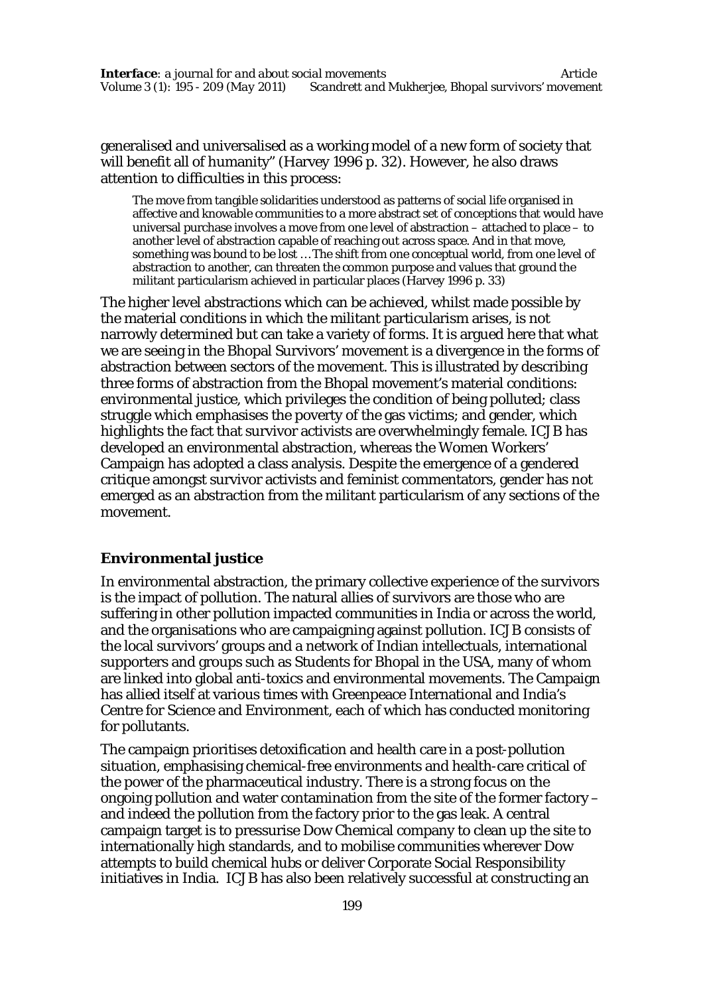generalised and universalised as a working model of a new form of society that will benefit all of humanity" (Harvey 1996 p. 32). However, he also draws attention to difficulties in this process:

The move from tangible solidarities understood as patterns of social life organised in affective and knowable communities to a more abstract set of conceptions that would have universal purchase involves a move from one level of abstraction – attached to place – to another level of abstraction capable of reaching out across space. And in that move, something was bound to be lost … The shift from one conceptual world, from one level of abstraction to another, can threaten the common purpose and values that ground the militant particularism achieved in particular places (Harvey 1996 p. 33)

The higher level abstractions which can be achieved, whilst made possible by the material conditions in which the militant particularism arises, is not narrowly determined but can take a variety of forms. It is argued here that what we are seeing in the Bhopal Survivors' movement is a divergence in the forms of abstraction between sectors of the movement. This is illustrated by describing three forms of abstraction from the Bhopal movement's material conditions: environmental justice, which privileges the condition of being polluted; class struggle which emphasises the poverty of the gas victims; and gender, which highlights the fact that survivor activists are overwhelmingly female. ICJB has developed an environmental abstraction, whereas the Women Workers' Campaign has adopted a class analysis. Despite the emergence of a gendered critique amongst survivor activists and feminist commentators, gender has not emerged as an abstraction from the militant particularism of any sections of the movement.

## **Environmental justice**

In environmental abstraction, the primary collective experience of the survivors is the impact of pollution. The natural allies of survivors are those who are suffering in other pollution impacted communities in India or across the world, and the organisations who are campaigning against pollution. ICJB consists of the local survivors' groups and a network of Indian intellectuals, international supporters and groups such as Students for Bhopal in the USA, many of whom are linked into global anti-toxics and environmental movements. The Campaign has allied itself at various times with Greenpeace International and India's Centre for Science and Environment, each of which has conducted monitoring for pollutants.

The campaign prioritises detoxification and health care in a post-pollution situation, emphasising chemical-free environments and health-care critical of the power of the pharmaceutical industry. There is a strong focus on the ongoing pollution and water contamination from the site of the former factory – and indeed the pollution from the factory prior to the gas leak. A central campaign target is to pressurise Dow Chemical company to clean up the site to internationally high standards, and to mobilise communities wherever Dow attempts to build chemical hubs or deliver Corporate Social Responsibility initiatives in India. ICJB has also been relatively successful at constructing an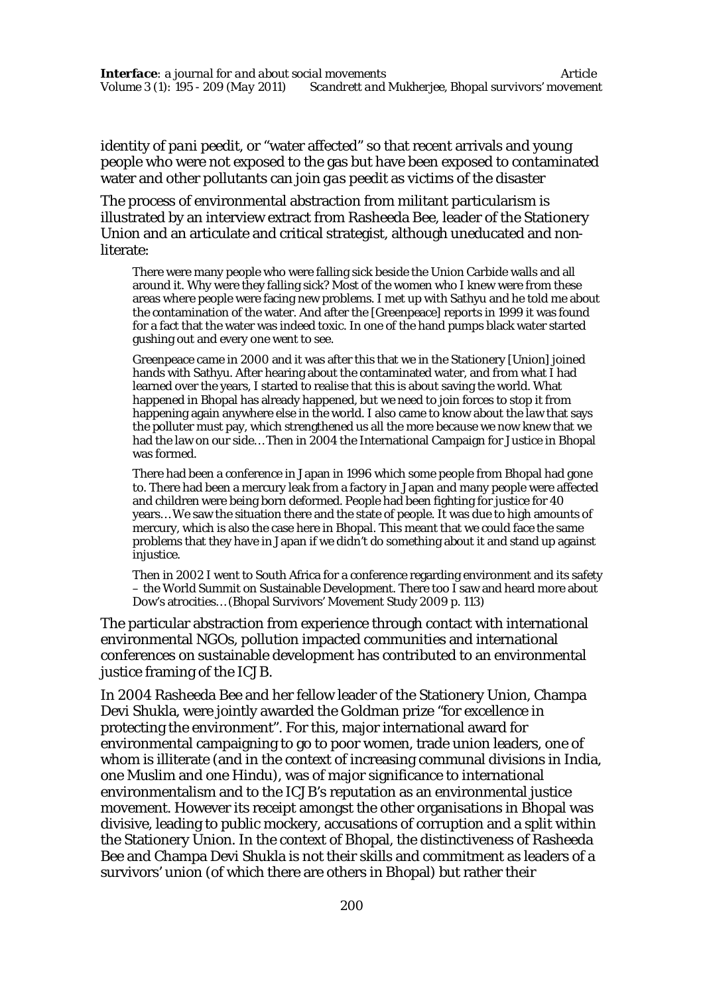identity of *pani peedit*, or "water affected" so that recent arrivals and young people who were not exposed to the gas but have been exposed to contaminated water and other pollutants can join *gas peedit* as victims of the disaster

The process of environmental abstraction from militant particularism is illustrated by an interview extract from Rasheeda Bee, leader of the Stationery Union and an articulate and critical strategist, although uneducated and nonliterate:

There were many people who were falling sick beside the Union Carbide walls and all around it. Why were they falling sick? Most of the women who I knew were from these areas where people were facing new problems. I met up with Sathyu and he told me about the contamination of the water. And after the [Greenpeace] reports in 1999 it was found for a fact that the water was indeed toxic. In one of the hand pumps black water started gushing out and every one went to see.

Greenpeace came in 2000 and it was after this that we in the Stationery [Union] joined hands with Sathyu. After hearing about the contaminated water, and from what I had learned over the years, I started to realise that this is about saving the world. What happened in Bhopal has already happened, but we need to join forces to stop it from happening again anywhere else in the world. I also came to know about the law that says the polluter must pay, which strengthened us all the more because we now knew that we had the law on our side… Then in 2004 the International Campaign for Justice in Bhopal was formed.

There had been a conference in Japan in 1996 which some people from Bhopal had gone to. There had been a mercury leak from a factory in Japan and many people were affected and children were being born deformed. People had been fighting for justice for 40 years… We saw the situation there and the state of people. It was due to high amounts of mercury, which is also the case here in Bhopal. This meant that we could face the same problems that they have in Japan if we didn't do something about it and stand up against injustice.

Then in 2002 I went to South Africa for a conference regarding environment and its safety – the World Summit on Sustainable Development. There too I saw and heard more about Dow's atrocities… (Bhopal Survivors' Movement Study 2009 p. 113)

The particular abstraction from experience through contact with international environmental NGOs, pollution impacted communities and international conferences on sustainable development has contributed to an environmental justice framing of the ICJB.

In 2004 Rasheeda Bee and her fellow leader of the Stationery Union, Champa Devi Shukla, were jointly awarded the Goldman prize "for excellence in protecting the environment". For this, major international award for environmental campaigning to go to poor women, trade union leaders, one of whom is illiterate (and in the context of increasing communal divisions in India, one Muslim and one Hindu), was of major significance to international environmentalism and to the ICJB's reputation as an environmental justice movement. However its receipt amongst the other organisations in Bhopal was divisive, leading to public mockery, accusations of corruption and a split within the Stationery Union. In the context of Bhopal, the distinctiveness of Rasheeda Bee and Champa Devi Shukla is not their skills and commitment as leaders of a survivors' union (of which there are others in Bhopal) but rather their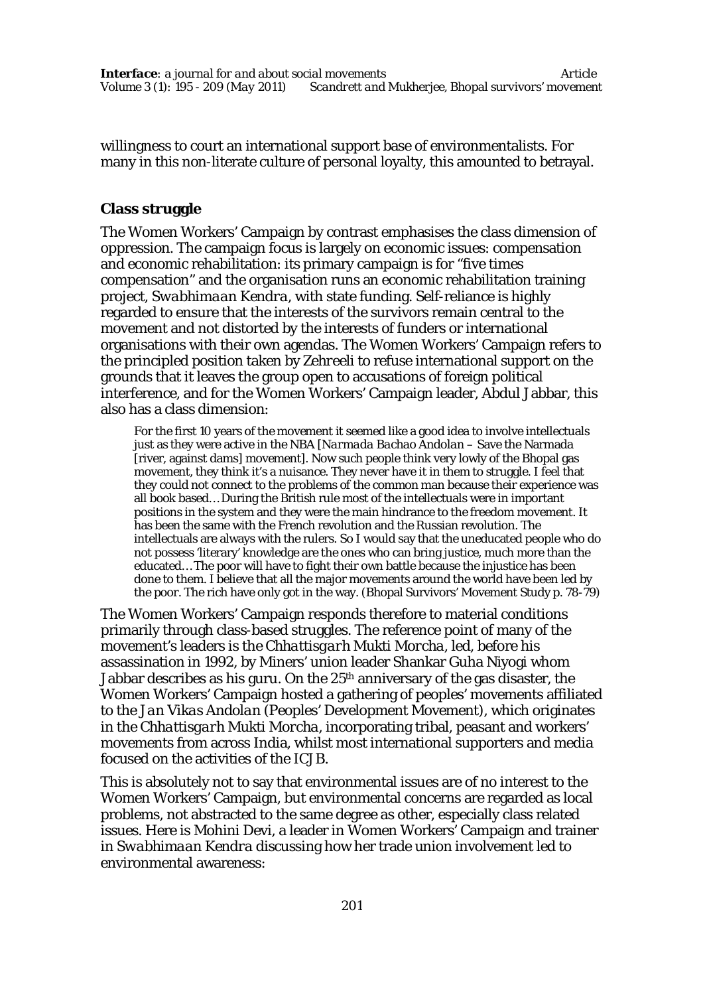willingness to court an international support base of environmentalists. For many in this non-literate culture of personal loyalty, this amounted to betrayal.

# **Class struggle**

The Women Workers' Campaign by contrast emphasises the class dimension of oppression. The campaign focus is largely on economic issues: compensation and economic rehabilitation: its primary campaign is for "five times compensation" and the organisation runs an economic rehabilitation training project, *Swabhimaan Kendra*, with state funding. Self-reliance is highly regarded to ensure that the interests of the survivors remain central to the movement and not distorted by the interests of funders or international organisations with their own agendas. The Women Workers' Campaign refers to the principled position taken by *Zehreeli* to refuse international support on the grounds that it leaves the group open to accusations of foreign political interference, and for the Women Workers' Campaign leader, Abdul Jabbar, this also has a class dimension:

For the first 10 years of the movement it seemed like a good idea to involve intellectuals just as they were active in the NBA [*Narmada Bachao Andolan* – Save the Narmada [river, against dams] movement]. Now such people think very lowly of the Bhopal gas movement, they think it's a nuisance. They never have it in them to struggle. I feel that they could not connect to the problems of the common man because their experience was all book based… During the British rule most of the intellectuals were in important positions in the system and they were the main hindrance to the freedom movement. It has been the same with the French revolution and the Russian revolution. The intellectuals are always with the rulers. So I would say that the uneducated people who do not possess 'literary' knowledge are the ones who can bring justice, much more than the educated… The poor will have to fight their own battle because the injustice has been done to them. I believe that all the major movements around the world have been led by the poor. The rich have only got in the way. (Bhopal Survivors' Movement Study p. 78-79)

The Women Workers' Campaign responds therefore to material conditions primarily through class-based struggles. The reference point of many of the movement's leaders is the *Chhattisgarh Mukti Morcha*, led, before his assassination in 1992, by Miners' union leader Shankar Guha Niyogi whom Jabbar describes as his guru. On the 25th anniversary of the gas disaster, the Women Workers' Campaign hosted a gathering of peoples' movements affiliated to the *Jan Vikas Andolan* (Peoples' Development Movement), which originates in the *Chhattisgarh Mukti Morcha,* incorporating tribal, peasant and workers' movements from across India, whilst most international supporters and media focused on the activities of the ICJB.

This is absolutely not to say that environmental issues are of no interest to the Women Workers' Campaign, but environmental concerns are regarded as local problems, not abstracted to the same degree as other, especially class related issues. Here is Mohini Devi, a leader in Women Workers' Campaign and trainer in *Swabhimaan Kendra* discussing how her trade union involvement led to environmental awareness: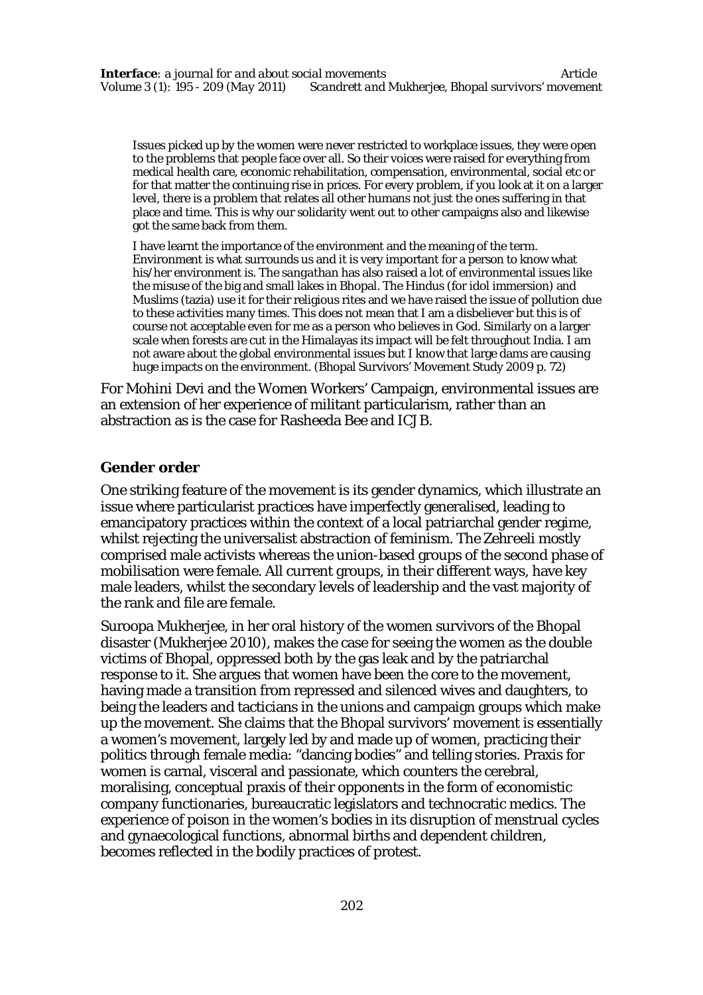Issues picked up by the women were never restricted to workplace issues, they were open to the problems that people face over all. So their voices were raised for everything from medical health care, economic rehabilitation, compensation, environmental, social etc or for that matter the continuing rise in prices. For every problem, if you look at it on a larger level, there is a problem that relates all other humans not just the ones suffering in that place and time. This is why our solidarity went out to other campaigns also and likewise got the same back from them.

I have learnt the importance of the environment and the meaning of the term. Environment is what surrounds us and it is very important for a person to know what his/her environment is. The *sangathan* has also raised a lot of environmental issues like the misuse of the big and small lakes in Bhopal. The Hindus (for idol immersion) and Muslims (tazia) use it for their religious rites and we have raised the issue of pollution due to these activities many times. This does not mean that I am a disbeliever but this is of course not acceptable even for me as a person who believes in God. Similarly on a larger scale when forests are cut in the Himalayas its impact will be felt throughout India. I am not aware about the global environmental issues but I know that large dams are causing huge impacts on the environment. (Bhopal Survivors' Movement Study 2009 p. 72)

For Mohini Devi and the Women Workers' Campaign, environmental issues are an extension of her experience of militant particularism, rather than an abstraction as is the case for Rasheeda Bee and ICJB.

#### **Gender order**

One striking feature of the movement is its gender dynamics, which illustrate an issue where particularist practices have imperfectly generalised, leading to emancipatory practices within the context of a local patriarchal gender regime, whilst rejecting the universalist abstraction of feminism. The *Zehreeli* mostly comprised male activists whereas the union-based groups of the second phase of mobilisation were female. All current groups, in their different ways, have key male leaders, whilst the secondary levels of leadership and the vast majority of the rank and file are female.

Suroopa Mukherjee, in her oral history of the women survivors of the Bhopal disaster (Mukherjee 2010), makes the case for seeing the women as the double victims of Bhopal, oppressed both by the gas leak and by the patriarchal response to it. She argues that women have been the core to the movement, having made a transition from repressed and silenced wives and daughters, to being the leaders and tacticians in the unions and campaign groups which make up the movement. She claims that the Bhopal survivors' movement is essentially a women's movement, largely led by and made up of women, practicing their politics through female media: "dancing bodies" and telling stories. Praxis for women is carnal, visceral and passionate, which counters the cerebral, moralising, conceptual praxis of their opponents in the form of economistic company functionaries, bureaucratic legislators and technocratic medics. The experience of poison in the women's bodies in its disruption of menstrual cycles and gynaecological functions, abnormal births and dependent children, becomes reflected in the bodily practices of protest.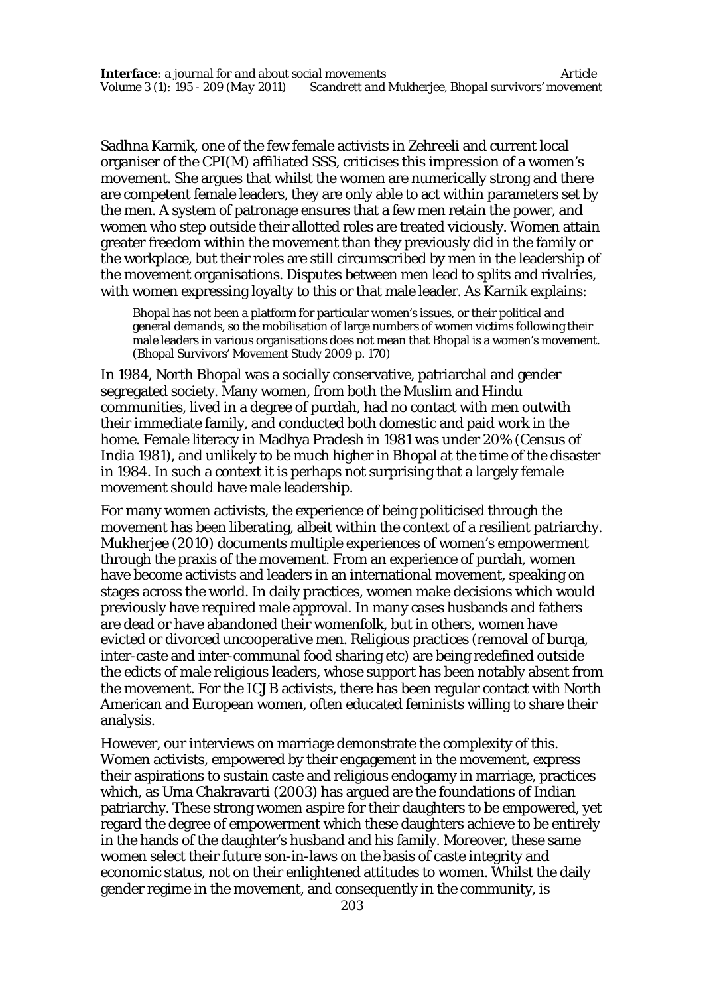Sadhna Karnik, one of the few female activists in *Zehreeli* and current local organiser of the CPI(M) affiliated SSS, criticises this impression of a women's movement. She argues that whilst the women are numerically strong and there are competent female leaders, they are only able to act within parameters set by the men. A system of patronage ensures that a few men retain the power, and women who step outside their allotted roles are treated viciously. Women attain greater freedom within the movement than they previously did in the family or the workplace, but their roles are still circumscribed by men in the leadership of the movement organisations. Disputes between men lead to splits and rivalries, with women expressing loyalty to this or that male leader. As Karnik explains:

Bhopal has not been a platform for particular women's issues, or their political and general demands, so the mobilisation of large numbers of women victims following their male leaders in various organisations does not mean that Bhopal is a women's movement. (Bhopal Survivors' Movement Study 2009 p. 170)

In 1984, North Bhopal was a socially conservative, patriarchal and gender segregated society. Many women, from both the Muslim and Hindu communities, lived in a degree of purdah, had no contact with men outwith their immediate family, and conducted both domestic and paid work in the home. Female literacy in Madhya Pradesh in 1981 was under 20% (Census of India 1981), and unlikely to be much higher in Bhopal at the time of the disaster in 1984. In such a context it is perhaps not surprising that a largely female movement should have male leadership.

For many women activists, the experience of being politicised through the movement has been liberating, albeit within the context of a resilient patriarchy. Mukherjee (2010) documents multiple experiences of women's empowerment through the praxis of the movement. From an experience of purdah, women have become activists and leaders in an international movement, speaking on stages across the world. In daily practices, women make decisions which would previously have required male approval. In many cases husbands and fathers are dead or have abandoned their womenfolk, but in others, women have evicted or divorced uncooperative men. Religious practices (removal of burqa, inter-caste and inter-communal food sharing etc) are being redefined outside the edicts of male religious leaders, whose support has been notably absent from the movement. For the ICJB activists, there has been regular contact with North American and European women, often educated feminists willing to share their analysis.

However, our interviews on marriage demonstrate the complexity of this. Women activists, empowered by their engagement in the movement, express their aspirations to sustain caste and religious endogamy in marriage, practices which, as Uma Chakravarti (2003) has argued are the foundations of Indian patriarchy. These strong women aspire for their daughters to be empowered, yet regard the degree of empowerment which these daughters achieve to be entirely in the hands of the daughter's husband and his family. Moreover, these same women select their future son-in-laws on the basis of caste integrity and economic status, not on their enlightened attitudes to women. Whilst the daily gender regime in the movement, and consequently in the community, is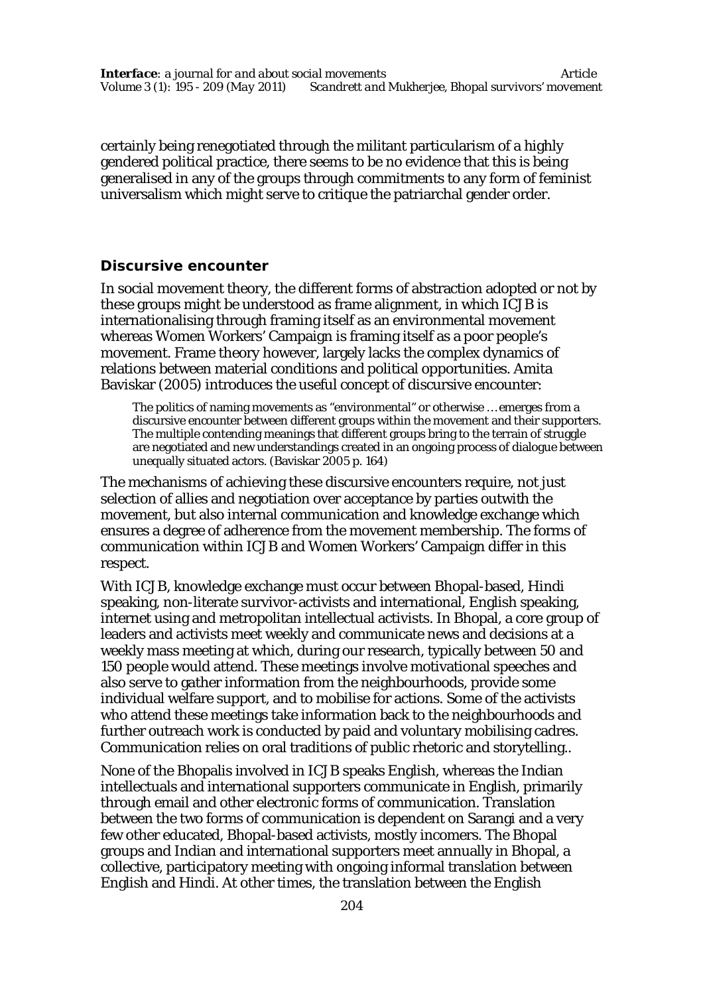certainly being renegotiated through the militant particularism of a highly gendered political practice, there seems to be no evidence that this is being generalised in any of the groups through commitments to any form of feminist universalism which might serve to critique the patriarchal gender order.

## **Discursive encounter**

In social movement theory, the different forms of abstraction adopted or not by these groups might be understood as frame alignment, in which ICJB is internationalising through framing itself as an environmental movement whereas Women Workers' Campaign is framing itself as a poor people's movement. Frame theory however, largely lacks the complex dynamics of relations between material conditions and political opportunities. Amita Baviskar (2005) introduces the useful concept of discursive encounter:

The politics of naming movements as "environmental" or otherwise … emerges from a discursive encounter between different groups within the movement and their supporters. The multiple contending meanings that different groups bring to the terrain of struggle are negotiated and new understandings created in an ongoing process of dialogue between unequally situated actors. (Baviskar 2005 p. 164)

The mechanisms of achieving these discursive encounters require, not just selection of allies and negotiation over acceptance by parties outwith the movement, but also internal communication and knowledge exchange which ensures a degree of adherence from the movement membership. The forms of communication within ICJB and Women Workers' Campaign differ in this respect.

With ICJB, knowledge exchange must occur between Bhopal-based, Hindi speaking, non-literate survivor-activists and international, English speaking, internet using and metropolitan intellectual activists. In Bhopal, a core group of leaders and activists meet weekly and communicate news and decisions at a weekly mass meeting at which, during our research, typically between 50 and 150 people would attend. These meetings involve motivational speeches and also serve to gather information from the neighbourhoods, provide some individual welfare support, and to mobilise for actions. Some of the activists who attend these meetings take information back to the neighbourhoods and further outreach work is conducted by paid and voluntary mobilising cadres. Communication relies on oral traditions of public rhetoric and storytelling..

None of the Bhopalis involved in ICJB speaks English, whereas the Indian intellectuals and international supporters communicate in English, primarily through email and other electronic forms of communication. Translation between the two forms of communication is dependent on Sarangi and a very few other educated, Bhopal-based activists, mostly incomers. The Bhopal groups and Indian and international supporters meet annually in Bhopal, a collective, participatory meeting with ongoing informal translation between English and Hindi. At other times, the translation between the English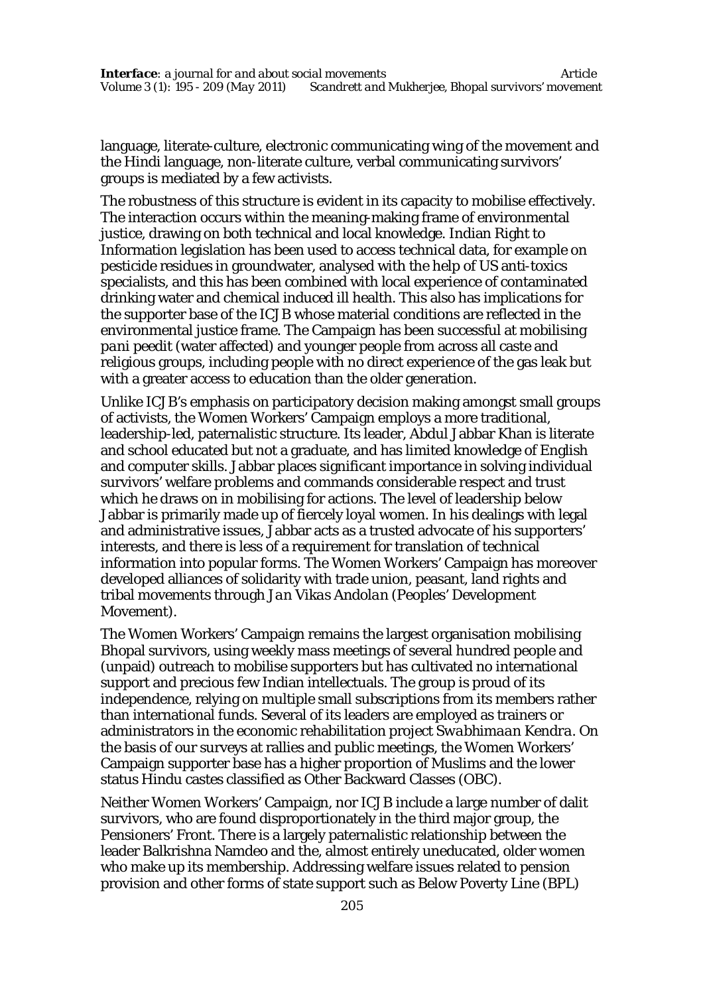language, literate-culture, electronic communicating wing of the movement and the Hindi language, non-literate culture, verbal communicating survivors' groups is mediated by a few activists.

The robustness of this structure is evident in its capacity to mobilise effectively. The interaction occurs within the meaning-making frame of environmental justice, drawing on both technical and local knowledge. Indian Right to Information legislation has been used to access technical data, for example on pesticide residues in groundwater, analysed with the help of US anti-toxics specialists, and this has been combined with local experience of contaminated drinking water and chemical induced ill health. This also has implications for the supporter base of the ICJB whose material conditions are reflected in the environmental justice frame. The Campaign has been successful at mobilising *pani peedit* (water affected) and younger people from across all caste and religious groups, including people with no direct experience of the gas leak but with a greater access to education than the older generation.

Unlike ICJB's emphasis on participatory decision making amongst small groups of activists, the Women Workers' Campaign employs a more traditional, leadership-led, paternalistic structure. Its leader, Abdul Jabbar Khan is literate and school educated but not a graduate, and has limited knowledge of English and computer skills. Jabbar places significant importance in solving individual survivors' welfare problems and commands considerable respect and trust which he draws on in mobilising for actions. The level of leadership below Jabbar is primarily made up of fiercely loyal women. In his dealings with legal and administrative issues, Jabbar acts as a trusted advocate of his supporters' interests, and there is less of a requirement for translation of technical information into popular forms. The Women Workers' Campaign has moreover developed alliances of solidarity with trade union, peasant, land rights and tribal movements through *Jan Vikas Andolan* (Peoples' Development Movement).

The Women Workers' Campaign remains the largest organisation mobilising Bhopal survivors, using weekly mass meetings of several hundred people and (unpaid) outreach to mobilise supporters but has cultivated no international support and precious few Indian intellectuals. The group is proud of its independence, relying on multiple small subscriptions from its members rather than international funds. Several of its leaders are employed as trainers or administrators in the economic rehabilitation project *Swabhimaan Kendra*. On the basis of our surveys at rallies and public meetings, the Women Workers' Campaign supporter base has a higher proportion of Muslims and the lower status Hindu castes classified as Other Backward Classes (OBC).

Neither Women Workers' Campaign, nor ICJB include a large number of dalit survivors, who are found disproportionately in the third major group, the Pensioners' Front. There is a largely paternalistic relationship between the leader Balkrishna Namdeo and the, almost entirely uneducated, older women who make up its membership. Addressing welfare issues related to pension provision and other forms of state support such as Below Poverty Line (BPL)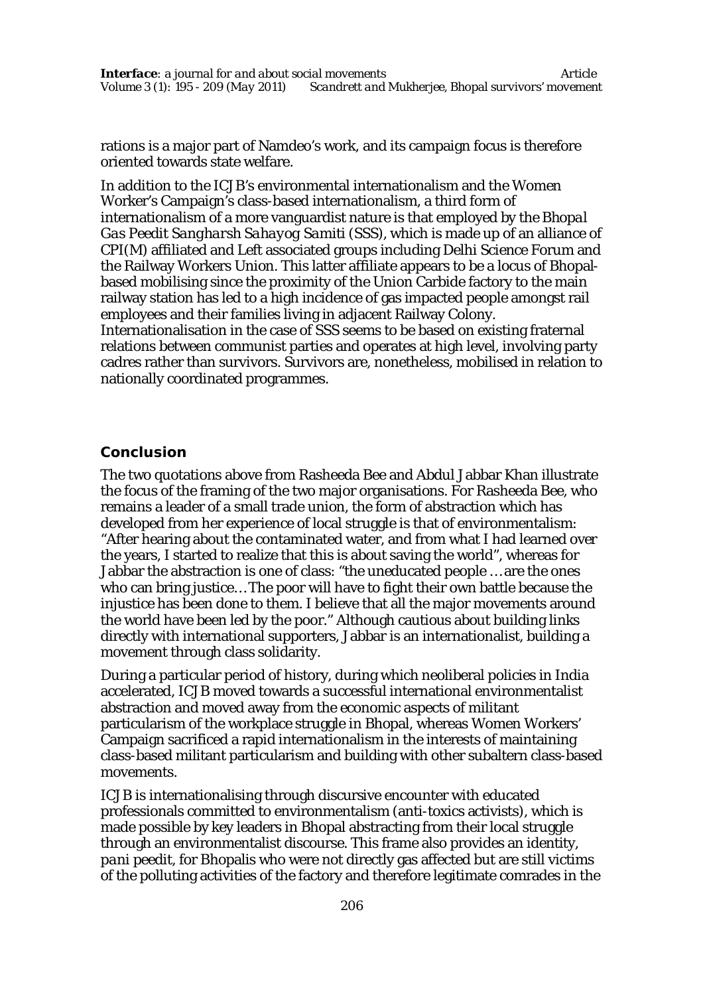rations is a major part of Namdeo's work, and its campaign focus is therefore oriented towards state welfare.

In addition to the ICJB's environmental internationalism and the Women Worker's Campaign's class-based internationalism, a third form of internationalism of a more vanguardist nature is that employed by the *Bhopal Gas Peedit Sangharsh Sahayog Samiti* (SSS), which is made up of an alliance of CPI(M) affiliated and Left associated groups including Delhi Science Forum and the Railway Workers Union. This latter affiliate appears to be a locus of Bhopalbased mobilising since the proximity of the Union Carbide factory to the main railway station has led to a high incidence of gas impacted people amongst rail employees and their families living in adjacent Railway Colony.

Internationalisation in the case of SSS seems to be based on existing fraternal relations between communist parties and operates at high level, involving party cadres rather than survivors. Survivors are, nonetheless, mobilised in relation to nationally coordinated programmes.

## **Conclusion**

The two quotations above from Rasheeda Bee and Abdul Jabbar Khan illustrate the focus of the framing of the two major organisations. For Rasheeda Bee, who remains a leader of a small trade union, the form of abstraction which has developed from her experience of local struggle is that of environmentalism: "After hearing about the contaminated water, and from what I had learned over the years, I started to realize that this is about saving the world", whereas for Jabbar the abstraction is one of class: "the uneducated people … are the ones who can bring justice… The poor will have to fight their own battle because the injustice has been done to them. I believe that all the major movements around the world have been led by the poor." Although cautious about building links directly with international supporters, Jabbar is an internationalist, building a movement through class solidarity.

During a particular period of history, during which neoliberal policies in India accelerated, ICJB moved towards a successful international environmentalist abstraction and moved away from the economic aspects of militant particularism of the workplace struggle in Bhopal, whereas Women Workers' Campaign sacrificed a rapid internationalism in the interests of maintaining class-based militant particularism and building with other subaltern class-based movements.

ICJB is internationalising through discursive encounter with educated professionals committed to environmentalism (anti-toxics activists), which is made possible by key leaders in Bhopal abstracting from their local struggle through an environmentalist discourse. This frame also provides an identity, *pani peedit*, for Bhopalis who were not directly gas affected but are still victims of the polluting activities of the factory and therefore legitimate comrades in the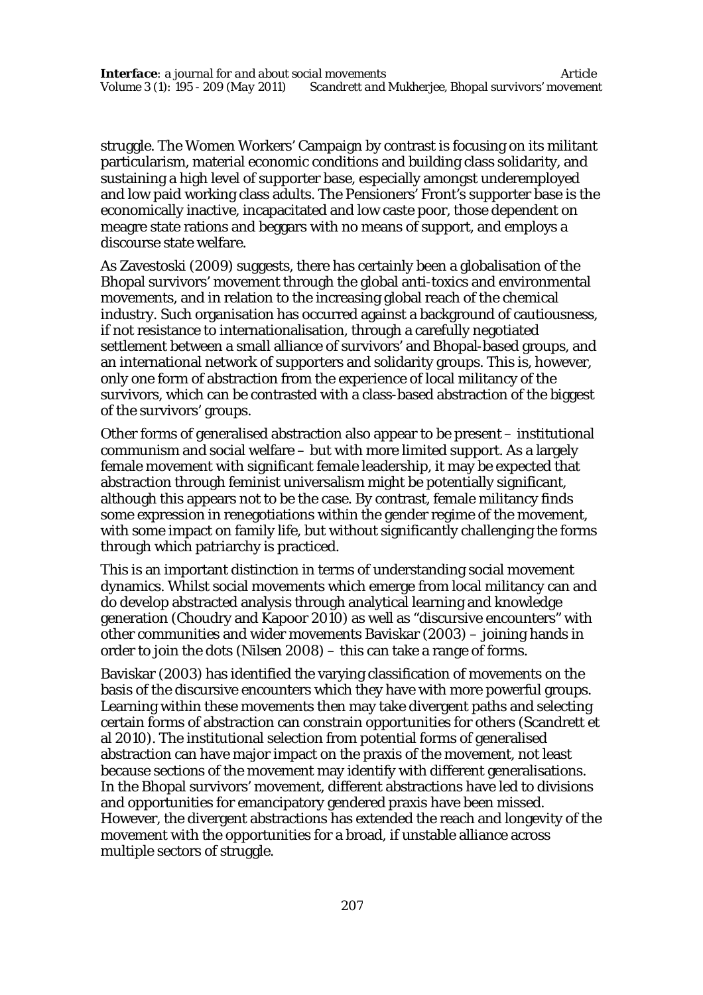struggle. The Women Workers' Campaign by contrast is focusing on its militant particularism, material economic conditions and building class solidarity, and sustaining a high level of supporter base, especially amongst underemployed and low paid working class adults. The Pensioners' Front's supporter base is the economically inactive, incapacitated and low caste poor, those dependent on meagre state rations and beggars with no means of support, and employs a discourse state welfare.

As Zavestoski (2009) suggests, there has certainly been a globalisation of the Bhopal survivors' movement through the global anti-toxics and environmental movements, and in relation to the increasing global reach of the chemical industry. Such organisation has occurred against a background of cautiousness, if not resistance to internationalisation, through a carefully negotiated settlement between a small alliance of survivors' and Bhopal-based groups, and an international network of supporters and solidarity groups. This is, however, only one form of abstraction from the experience of local militancy of the survivors, which can be contrasted with a class-based abstraction of the biggest of the survivors' groups.

Other forms of generalised abstraction also appear to be present – institutional communism and social welfare – but with more limited support. As a largely female movement with significant female leadership, it may be expected that abstraction through feminist universalism might be potentially significant, although this appears not to be the case. By contrast, female militancy finds some expression in renegotiations within the gender regime of the movement, with some impact on family life, but without significantly challenging the forms through which patriarchy is practiced.

This is an important distinction in terms of understanding social movement dynamics. Whilst social movements which emerge from local militancy can and do develop abstracted analysis through analytical learning and knowledge generation (Choudry and Kapoor 2010) as well as "discursive encounters" with other communities and wider movements Baviskar (2003) – joining hands in order to join the dots (Nilsen 2008) – this can take a range of forms.

Baviskar (2003) has identified the varying classification of movements on the basis of the discursive encounters which they have with more powerful groups. Learning within these movements then may take divergent paths and selecting certain forms of abstraction can constrain opportunities for others (Scandrett et al 2010). The institutional selection from potential forms of generalised abstraction can have major impact on the praxis of the movement, not least because sections of the movement may identify with different generalisations. In the Bhopal survivors' movement, different abstractions have led to divisions and opportunities for emancipatory gendered praxis have been missed. However, the divergent abstractions has extended the reach and longevity of the movement with the opportunities for a broad, if unstable alliance across multiple sectors of struggle.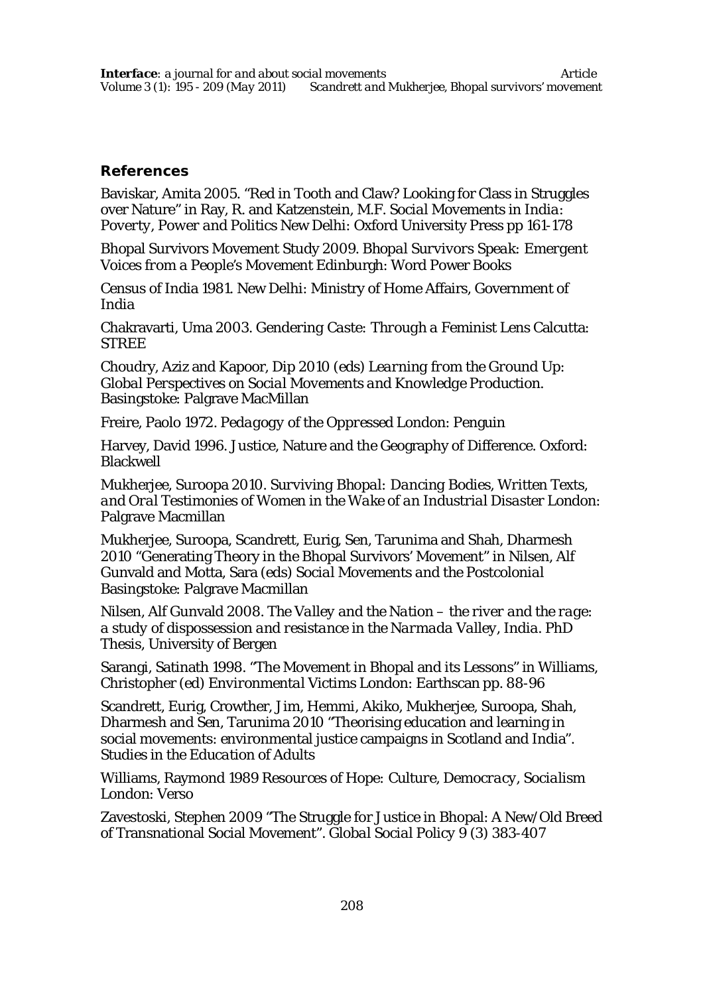# **References**

Baviskar, Amita 2005. "Red in Tooth and Claw? Looking for Class in Struggles over Nature" in Ray, R. and Katzenstein, M.F. *Social Movements in India: Poverty, Power and Politics* New Delhi: Oxford University Press pp 161-178

Bhopal Survivors Movement Study 2009. *Bhopal Survivors Speak: Emergent Voices from a People's Movement* Edinburgh: Word Power Books

Census of India 1981. New Delhi: Ministry of Home Affairs, Government of India

Chakravarti, Uma 2003. *Gendering Caste: Through a Feminist Lens* Calcutta: **STRFF** 

Choudry, Aziz and Kapoor, Dip 2010 (eds) *Learning from the Ground Up: Global Perspectives on Social Movements and Knowledge Production*. Basingstoke: Palgrave MacMillan

Freire, Paolo 1972. *Pedagogy of the Oppressed* London: Penguin

Harvey, David 1996. Justice, Nature and the Geography of Difference. Oxford: Blackwell

Mukherjee, Suroopa 2010. *Surviving Bhopal: Dancing Bodies, Written Texts, and Oral Testimonies of Women in the Wake of an Industrial Disaster* London: Palgrave Macmillan

Mukherjee, Suroopa, Scandrett, Eurig, Sen, Tarunima and Shah, Dharmesh 2010 "Generating Theory in the Bhopal Survivors' Movement" in Nilsen, Alf Gunvald and Motta, Sara (eds) *Social Movements and the Postcolonial* Basingstoke: Palgrave Macmillan

Nilsen, Alf Gunvald 2008. *The Valley and the Nation – the river and the rage: a study of dispossession and resistance in the Narmada Valley, India*. PhD Thesis, University of Bergen

Sarangi, Satinath 1998. "The Movement in Bhopal and its Lessons" in Williams, Christopher (ed) *Environmental Victims* London: Earthscan pp. 88-96

Scandrett, Eurig, Crowther, Jim, Hemmi, Akiko, Mukherjee, Suroopa, Shah, Dharmesh and Sen, Tarunima 2010 "Theorising education and learning in social movements: environmental justice campaigns in Scotland and India". *Studies in the Education of Adults*

Williams, Raymond 1989 *Resources of Hope: Culture, Democracy, Socialism* London: Verso

Zavestoski, Stephen 2009 "The Struggle for Justice in Bhopal: A New/Old Breed of Transnational Social Movement". *Global Social Policy* 9 (3) 383-407